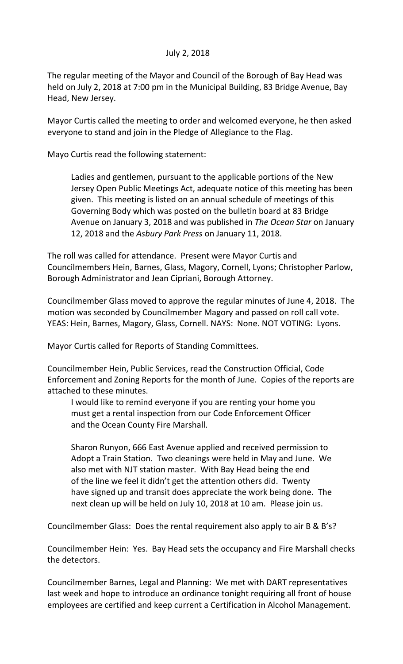## July 2, 2018

The regular meeting of the Mayor and Council of the Borough of Bay Head was held on July 2, 2018 at 7:00 pm in the Municipal Building, 83 Bridge Avenue, Bay Head, New Jersey.

Mayor Curtis called the meeting to order and welcomed everyone, he then asked everyone to stand and join in the Pledge of Allegiance to the Flag.

Mayo Curtis read the following statement:

Ladies and gentlemen, pursuant to the applicable portions of the New Jersey Open Public Meetings Act, adequate notice of this meeting has been given. This meeting is listed on an annual schedule of meetings of this Governing Body which was posted on the bulletin board at 83 Bridge Avenue on January 3, 2018 and was published in *The Ocean Star* on January 12, 2018 and the *Asbury Park Press* on January 11, 2018.

The roll was called for attendance. Present were Mayor Curtis and Councilmembers Hein, Barnes, Glass, Magory, Cornell, Lyons; Christopher Parlow, Borough Administrator and Jean Cipriani, Borough Attorney.

Councilmember Glass moved to approve the regular minutes of June 4, 2018. The motion was seconded by Councilmember Magory and passed on roll call vote. YEAS: Hein, Barnes, Magory, Glass, Cornell. NAYS: None. NOT VOTING: Lyons.

Mayor Curtis called for Reports of Standing Committees.

Councilmember Hein, Public Services, read the Construction Official, Code Enforcement and Zoning Reports for the month of June. Copies of the reports are attached to these minutes.

I would like to remind everyone if you are renting your home you must get a rental inspection from our Code Enforcement Officer and the Ocean County Fire Marshall.

Sharon Runyon, 666 East Avenue applied and received permission to Adopt a Train Station. Two cleanings were held in May and June. We also met with NJT station master. With Bay Head being the end of the line we feel it didn't get the attention others did. Twenty have signed up and transit does appreciate the work being done. The next clean up will be held on July 10, 2018 at 10 am. Please join us.

Councilmember Glass: Does the rental requirement also apply to air B & B's?

Councilmember Hein: Yes. Bay Head sets the occupancy and Fire Marshall checks the detectors.

Councilmember Barnes, Legal and Planning: We met with DART representatives last week and hope to introduce an ordinance tonight requiring all front of house employees are certified and keep current a Certification in Alcohol Management.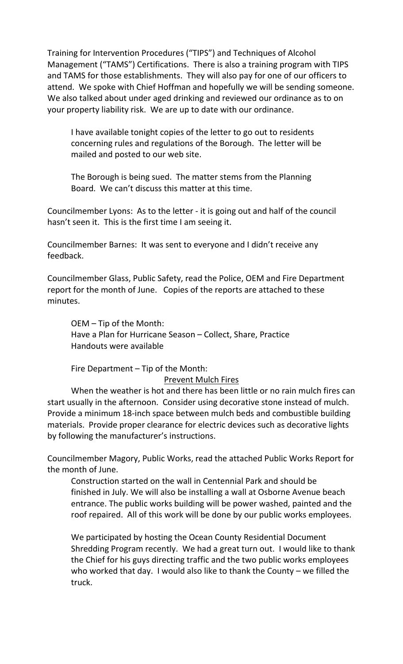Training for Intervention Procedures ("TIPS") and Techniques of Alcohol Management ("TAMS") Certifications. There is also a training program with TIPS and TAMS for those establishments. They will also pay for one of our officers to attend. We spoke with Chief Hoffman and hopefully we will be sending someone. We also talked about under aged drinking and reviewed our ordinance as to on your property liability risk. We are up to date with our ordinance.

I have available tonight copies of the letter to go out to residents concerning rules and regulations of the Borough. The letter will be mailed and posted to our web site.

The Borough is being sued. The matter stems from the Planning Board. We can't discuss this matter at this time.

Councilmember Lyons: As to the letter - it is going out and half of the council hasn't seen it. This is the first time I am seeing it.

Councilmember Barnes: It was sent to everyone and I didn't receive any feedback.

Councilmember Glass, Public Safety, read the Police, OEM and Fire Department report for the month of June. Copies of the reports are attached to these minutes.

OEM – Tip of the Month: Have a Plan for Hurricane Season – Collect, Share, Practice Handouts were available

Fire Department – Tip of the Month:

## Prevent Mulch Fires

When the weather is hot and there has been little or no rain mulch fires can start usually in the afternoon. Consider using decorative stone instead of mulch. Provide a minimum 18-inch space between mulch beds and combustible building materials. Provide proper clearance for electric devices such as decorative lights by following the manufacturer's instructions.

Councilmember Magory, Public Works, read the attached Public Works Report for the month of June.

Construction started on the wall in Centennial Park and should be finished in July. We will also be installing a wall at Osborne Avenue beach entrance. The public works building will be power washed, painted and the roof repaired. All of this work will be done by our public works employees.

We participated by hosting the Ocean County Residential Document Shredding Program recently. We had a great turn out. I would like to thank the Chief for his guys directing traffic and the two public works employees who worked that day. I would also like to thank the County – we filled the truck.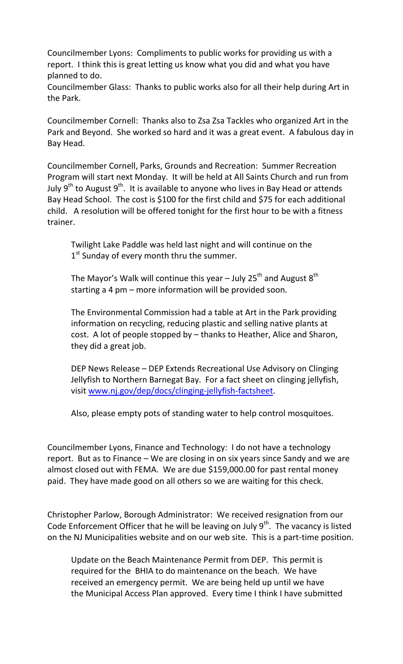Councilmember Lyons: Compliments to public works for providing us with a report. I think this is great letting us know what you did and what you have planned to do.

Councilmember Glass: Thanks to public works also for all their help during Art in the Park.

Councilmember Cornell: Thanks also to Zsa Zsa Tackles who organized Art in the Park and Beyond. She worked so hard and it was a great event. A fabulous day in Bay Head.

Councilmember Cornell, Parks, Grounds and Recreation: Summer Recreation Program will start next Monday. It will be held at All Saints Church and run from July 9<sup>th</sup> to August 9<sup>th</sup>. It is available to anyone who lives in Bay Head or attends Bay Head School. The cost is \$100 for the first child and \$75 for each additional child. A resolution will be offered tonight for the first hour to be with a fitness trainer.

Twilight Lake Paddle was held last night and will continue on the 1<sup>st</sup> Sunday of every month thru the summer.

The Mayor's Walk will continue this year – July 25<sup>th</sup> and August 8<sup>th</sup> starting a 4 pm – more information will be provided soon.

The Environmental Commission had a table at Art in the Park providing information on recycling, reducing plastic and selling native plants at cost. A lot of people stopped by – thanks to Heather, Alice and Sharon, they did a great job.

DEP News Release – DEP Extends Recreational Use Advisory on Clinging Jellyfish to Northern Barnegat Bay. For a fact sheet on clinging jellyfish, visit [www.nj.gov/dep/docs/clinging-jellyfish-factsheet.](http://www.nj.gov/dep/docs/clinging-jellyfish-factsheet)

Also, please empty pots of standing water to help control mosquitoes.

Councilmember Lyons, Finance and Technology: I do not have a technology report. But as to Finance – We are closing in on six years since Sandy and we are almost closed out with FEMA. We are due \$159,000.00 for past rental money paid. They have made good on all others so we are waiting for this check.

Christopher Parlow, Borough Administrator: We received resignation from our Code Enforcement Officer that he will be leaving on July  $9<sup>th</sup>$ . The vacancy is listed on the NJ Municipalities website and on our web site. This is a part-time position.

Update on the Beach Maintenance Permit from DEP. This permit is required for the BHIA to do maintenance on the beach. We have received an emergency permit. We are being held up until we have the Municipal Access Plan approved. Every time I think I have submitted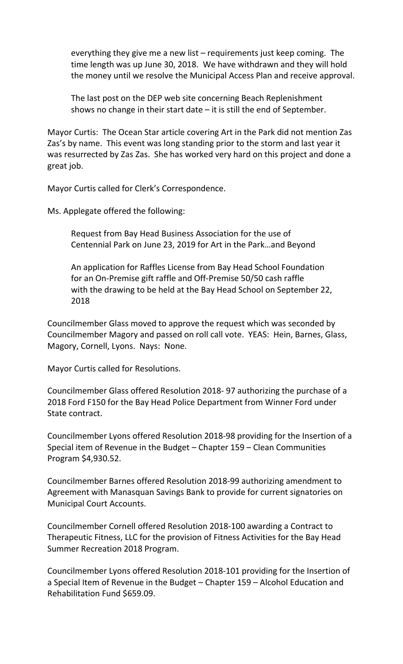everything they give me a new list – requirements just keep coming. The time length was up June 30, 2018. We have withdrawn and they will hold the money until we resolve the Municipal Access Plan and receive approval.

The last post on the DEP web site concerning Beach Replenishment shows no change in their start date  $-$  it is still the end of September.

Mayor Curtis: The Ocean Star article covering Art in the Park did not mention Zas Zas's by name. This event was long standing prior to the storm and last year it was resurrected by Zas Zas. She has worked very hard on this project and done a great job.

Mayor Curtis called for Clerk's Correspondence.

Ms. Applegate offered the following:

Request from Bay Head Business Association for the use of Centennial Park on June 23, 2019 for Art in the Park…and Beyond

An application for Raffles License from Bay Head School Foundation for an On-Premise gift raffle and Off-Premise 50/50 cash raffle with the drawing to be held at the Bay Head School on September 22, 2018

Councilmember Glass moved to approve the request which was seconded by Councilmember Magory and passed on roll call vote. YEAS: Hein, Barnes, Glass, Magory, Cornell, Lyons. Nays: None.

Mayor Curtis called for Resolutions.

Councilmember Glass offered Resolution 2018- 97 authorizing the purchase of a 2018 Ford F150 for the Bay Head Police Department from Winner Ford under State contract.

Councilmember Lyons offered Resolution 2018-98 providing for the Insertion of a Special item of Revenue in the Budget – Chapter 159 – Clean Communities Program \$4,930.52.

Councilmember Barnes offered Resolution 2018-99 authorizing amendment to Agreement with Manasquan Savings Bank to provide for current signatories on Municipal Court Accounts.

Councilmember Cornell offered Resolution 2018-100 awarding a Contract to Therapeutic Fitness, LLC for the provision of Fitness Activities for the Bay Head Summer Recreation 2018 Program.

Councilmember Lyons offered Resolution 2018-101 providing for the Insertion of a Special Item of Revenue in the Budget – Chapter 159 – Alcohol Education and Rehabilitation Fund \$659.09.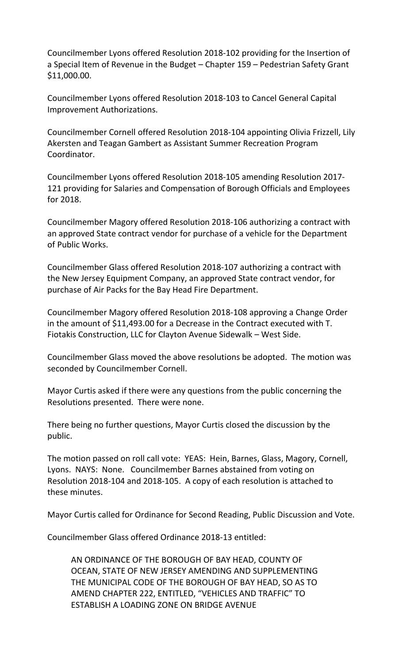Councilmember Lyons offered Resolution 2018-102 providing for the Insertion of a Special Item of Revenue in the Budget – Chapter 159 – Pedestrian Safety Grant \$11,000.00.

Councilmember Lyons offered Resolution 2018-103 to Cancel General Capital Improvement Authorizations.

Councilmember Cornell offered Resolution 2018-104 appointing Olivia Frizzell, Lily Akersten and Teagan Gambert as Assistant Summer Recreation Program Coordinator.

Councilmember Lyons offered Resolution 2018-105 amending Resolution 2017- 121 providing for Salaries and Compensation of Borough Officials and Employees for 2018.

Councilmember Magory offered Resolution 2018-106 authorizing a contract with an approved State contract vendor for purchase of a vehicle for the Department of Public Works.

Councilmember Glass offered Resolution 2018-107 authorizing a contract with the New Jersey Equipment Company, an approved State contract vendor, for purchase of Air Packs for the Bay Head Fire Department.

Councilmember Magory offered Resolution 2018-108 approving a Change Order in the amount of \$11,493.00 for a Decrease in the Contract executed with T. Fiotakis Construction, LLC for Clayton Avenue Sidewalk – West Side.

Councilmember Glass moved the above resolutions be adopted. The motion was seconded by Councilmember Cornell.

Mayor Curtis asked if there were any questions from the public concerning the Resolutions presented. There were none.

There being no further questions, Mayor Curtis closed the discussion by the public.

The motion passed on roll call vote: YEAS: Hein, Barnes, Glass, Magory, Cornell, Lyons. NAYS: None. Councilmember Barnes abstained from voting on Resolution 2018-104 and 2018-105. A copy of each resolution is attached to these minutes.

Mayor Curtis called for Ordinance for Second Reading, Public Discussion and Vote.

Councilmember Glass offered Ordinance 2018-13 entitled:

AN ORDINANCE OF THE BOROUGH OF BAY HEAD, COUNTY OF OCEAN, STATE OF NEW JERSEY AMENDING AND SUPPLEMENTING THE MUNICIPAL CODE OF THE BOROUGH OF BAY HEAD, SO AS TO AMEND CHAPTER 222, ENTITLED, "VEHICLES AND TRAFFIC" TO ESTABLISH A LOADING ZONE ON BRIDGE AVENUE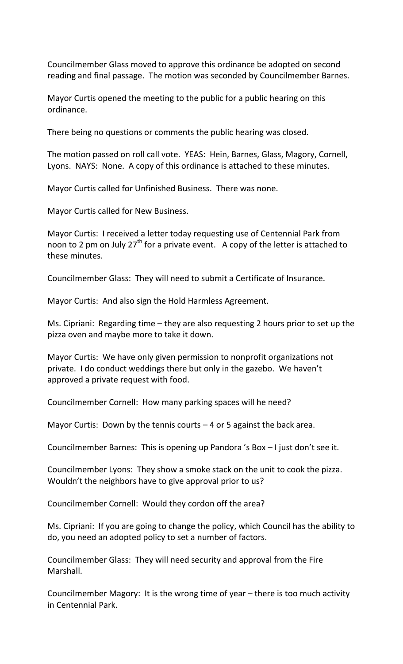Councilmember Glass moved to approve this ordinance be adopted on second reading and final passage. The motion was seconded by Councilmember Barnes.

Mayor Curtis opened the meeting to the public for a public hearing on this ordinance.

There being no questions or comments the public hearing was closed.

The motion passed on roll call vote. YEAS: Hein, Barnes, Glass, Magory, Cornell, Lyons. NAYS: None. A copy of this ordinance is attached to these minutes.

Mayor Curtis called for Unfinished Business. There was none.

Mayor Curtis called for New Business.

Mayor Curtis: I received a letter today requesting use of Centennial Park from noon to 2 pm on July 27<sup>th</sup> for a private event. A copy of the letter is attached to these minutes.

Councilmember Glass: They will need to submit a Certificate of Insurance.

Mayor Curtis: And also sign the Hold Harmless Agreement.

Ms. Cipriani: Regarding time – they are also requesting 2 hours prior to set up the pizza oven and maybe more to take it down.

Mayor Curtis: We have only given permission to nonprofit organizations not private. I do conduct weddings there but only in the gazebo. We haven't approved a private request with food.

Councilmember Cornell: How many parking spaces will he need?

Mayor Curtis: Down by the tennis courts  $-4$  or 5 against the back area.

Councilmember Barnes: This is opening up Pandora 's Box – I just don't see it.

Councilmember Lyons: They show a smoke stack on the unit to cook the pizza. Wouldn't the neighbors have to give approval prior to us?

Councilmember Cornell: Would they cordon off the area?

Ms. Cipriani: If you are going to change the policy, which Council has the ability to do, you need an adopted policy to set a number of factors.

Councilmember Glass: They will need security and approval from the Fire Marshall.

Councilmember Magory: It is the wrong time of year – there is too much activity in Centennial Park.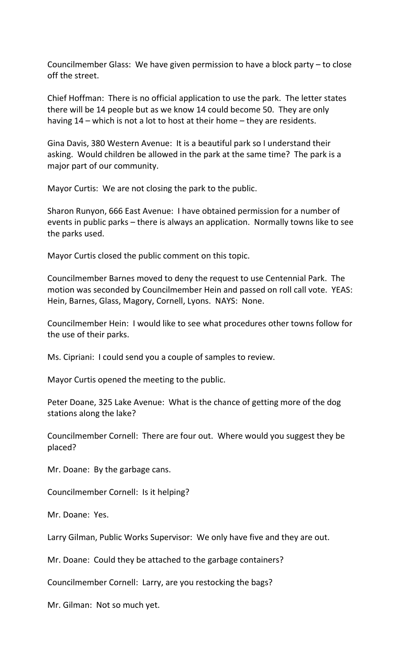Councilmember Glass: We have given permission to have a block party – to close off the street.

Chief Hoffman: There is no official application to use the park. The letter states there will be 14 people but as we know 14 could become 50. They are only having 14 – which is not a lot to host at their home – they are residents.

Gina Davis, 380 Western Avenue: It is a beautiful park so I understand their asking. Would children be allowed in the park at the same time? The park is a major part of our community.

Mayor Curtis: We are not closing the park to the public.

Sharon Runyon, 666 East Avenue: I have obtained permission for a number of events in public parks – there is always an application. Normally towns like to see the parks used.

Mayor Curtis closed the public comment on this topic.

Councilmember Barnes moved to deny the request to use Centennial Park. The motion was seconded by Councilmember Hein and passed on roll call vote. YEAS: Hein, Barnes, Glass, Magory, Cornell, Lyons. NAYS: None.

Councilmember Hein: I would like to see what procedures other towns follow for the use of their parks.

Ms. Cipriani: I could send you a couple of samples to review.

Mayor Curtis opened the meeting to the public.

Peter Doane, 325 Lake Avenue: What is the chance of getting more of the dog stations along the lake?

Councilmember Cornell: There are four out. Where would you suggest they be placed?

Mr. Doane: By the garbage cans.

Councilmember Cornell: Is it helping?

Mr. Doane: Yes.

Larry Gilman, Public Works Supervisor: We only have five and they are out.

Mr. Doane: Could they be attached to the garbage containers?

Councilmember Cornell: Larry, are you restocking the bags?

Mr. Gilman: Not so much yet.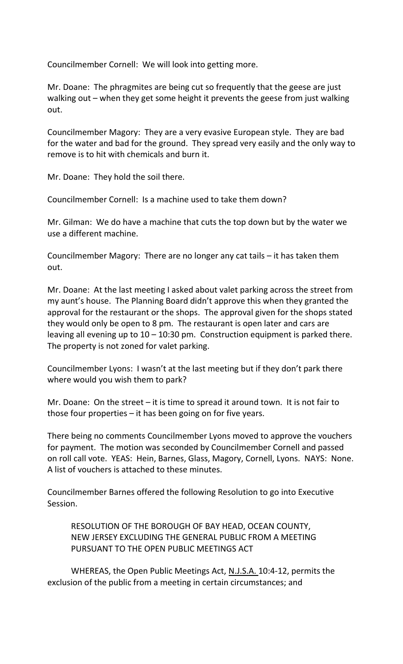Councilmember Cornell: We will look into getting more.

Mr. Doane: The phragmites are being cut so frequently that the geese are just walking out – when they get some height it prevents the geese from just walking out.

Councilmember Magory: They are a very evasive European style. They are bad for the water and bad for the ground. They spread very easily and the only way to remove is to hit with chemicals and burn it.

Mr. Doane: They hold the soil there.

Councilmember Cornell: Is a machine used to take them down?

Mr. Gilman: We do have a machine that cuts the top down but by the water we use a different machine.

Councilmember Magory: There are no longer any cat tails – it has taken them out.

Mr. Doane: At the last meeting I asked about valet parking across the street from my aunt's house. The Planning Board didn't approve this when they granted the approval for the restaurant or the shops. The approval given for the shops stated they would only be open to 8 pm. The restaurant is open later and cars are leaving all evening up to  $10 - 10:30$  pm. Construction equipment is parked there. The property is not zoned for valet parking.

Councilmember Lyons: I wasn't at the last meeting but if they don't park there where would you wish them to park?

Mr. Doane: On the street – it is time to spread it around town. It is not fair to those four properties – it has been going on for five years.

There being no comments Councilmember Lyons moved to approve the vouchers for payment. The motion was seconded by Councilmember Cornell and passed on roll call vote. YEAS: Hein, Barnes, Glass, Magory, Cornell, Lyons. NAYS: None. A list of vouchers is attached to these minutes.

Councilmember Barnes offered the following Resolution to go into Executive Session.

RESOLUTION OF THE BOROUGH OF BAY HEAD, OCEAN COUNTY, NEW JERSEY EXCLUDING THE GENERAL PUBLIC FROM A MEETING PURSUANT TO THE OPEN PUBLIC MEETINGS ACT

WHEREAS, the Open Public Meetings Act, N.J.S.A. 10:4-12, permits the exclusion of the public from a meeting in certain circumstances; and